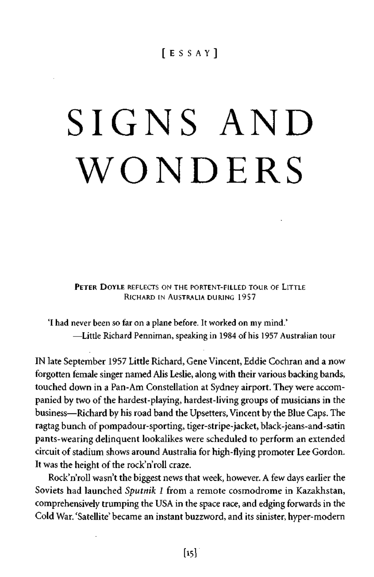# [ESSAY ]

# SIGNS AND WONDERS

PETER DOYLE REFLECTS ON THE PORTENT-FILLED TOUR OF LITTLE RICHARD IN AUSTRALIA DURING 19S7

'I had never been so far on a plane before. It worked on my mind.' —Little Richard Penniman, speaking in 1984 of his 1957 Australian tour

IN late September 1957 Little Richard, Gene Vincent, Eddie Cochran and a now forgotten female singer named Alis Leslie, along with their various backing bands, touched down in a Pan-Am Constellation at Sydney airport. They were accompanied by two of the hardest-playing, hardest-living groups of musicians in the business—Richard by his road band the Upsetters, Vincent by the Blue Caps. The ragtag bunch of pompadour-sporting, tiger-stripe-jacket, black-jeans-and-satin pants-wearing delinquent lookalikes were scheduled to perform an extended circuit of stadium shows around Australia for high-flying promoter Lee Gordon. It was the height of the rock'n'roll craze.

Rock'n'roll wasn't the biggest news that week, however. A few days earlier the Soviets had launched *Sputnik 1* from a remote cosmodrome in Kazakhstan, comprehensively trumping the USA in the space race, and edging forwards in the Cold War. 'Satellite' became an instant buzzword, and its sinister, hyper-modern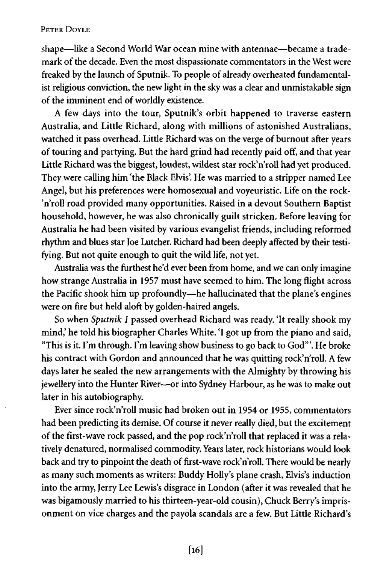shape—like a Second World War ocean mine with antennae—became a trademark of the decade. Even the most dispassionate commentators in the West were freaked by the launch of Sputnik. To people of already overheated fundamentalist religious conviction, the new light in the sky was a clear and unmistakable sign of the imminent end of worldly existence.

A few days into the tour, Sputnik's orbit happened to traverse eastern Australia, and Little Richard, along with millions of astonished Australians, watched it pass overhead. Little Richard was on the verge of burnout after years of touring and partying. But the hard grind had recently paid off, and that year Little Richard was the biggest, loudest, wildest star rock'n'roll had yet produced. They were calling him 'the Black Elvis'. He was married to a stripper named Lee Angel, but his preferences were homosexual and voyeuristic. Life on the rock- 'n'roll road provided many opportunities. Raised in a devout Southern Baptist household, however, he was also chronically guilt stricken. Before leaving for Australia he had been visited by various evangelist friends, including reformed rhythm and blues star Joe Lutcher. Richard had been deeply affected by their testifying. But not quite enough to quit the wild life, not yet.

Australia was the furthest he'd ever been from home, and we can only imagine how strange Australia in 1957 must have seemed to him. The long flight across the Pacific shook him up profoundly—he hallucinated that the plane's engines were on fire but held aloft by golden-haired angels.

So when *Sputnik 1* passed overhead Richard was ready. 'It really shook my mind,' he told his biographer Charles White. 'I got up from the piano and said, "This is it. I'm through. I'm leaving show business to go back to God'". He broke his contract with Gordon and announced that he was quitting rock'n'roll. A few days later he sealed the new arrangements with the Almighty by throwing his jewellery into the Hunter River—or into Sydney Harbour, as he was to make out later in his autobiography.

Ever since rock'n'roll music had broken out in 1954 or 1955, commentators had been predicting its demise. Of course it never really died, but the excitement of the first-wave rock passed, and the pop rock'n'roll that replaced it was a relatively denatured, normalised commodity. Years later, rock historians would look back and try to pinpoint the death of first-wave rock'n'roll. There would be nearly as many such moments as writers: Buddy Holly's plane crash, Elvis's induction into the army, Jerry Lee Lewis's disgrace in London (after it was revealed that he was bigamously married to his thirteen-year-old cousin), Chuck Berry's imprisonment on vice charges and the payola scandals are a few. But Little Richard's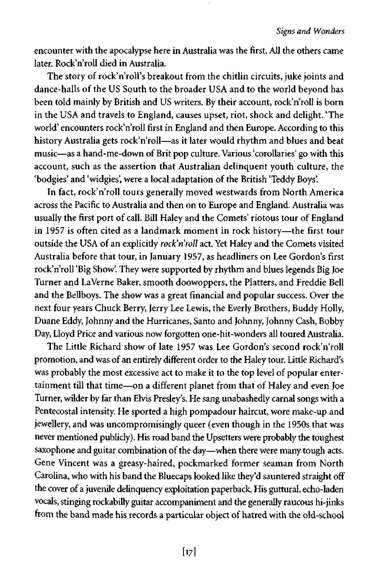encounter with the apocalypse here in Australia was the first. All the others came later. Rock'n'roll died in Australia.

The story of rock'n'roll's breakout from the chitlin circuits, juke joints and dance-halls of the US South to the broader USA and to the world beyond has been told mainly by British and US writers. By their account, rock'n'roll is born in the USA and travels to England, causes upset, riot, shock and delight. 'The world' encounters rock'n'roll first in England and then Europe. According to this history Australia gets rock'n'roll—as it later would rhythm and blues and beat music—as a hand-me-down of Brit pop culture. Various 'corollaries' go with this account, such as the assertion that Australian delinquent youth culture, the 'bodgies' and 'widgies', were a local adaptation of the British 'Teddy Boys'.

In fact, rock'n'roll tours generally moved westwards from North America across the Pacific to Australia and then on to Europe and England. Australia was usually the first port of call. Bill Haley and the Comets' riotous tour of England in 1957 is often cited as a landmark moment in rock history—the first tour outside the USA of an explicitly *rock'n'roll* act. Yet Haley and the Comets visited Australia before that tour, in January 1957, as headliners on Lee Gordon's first rock'n'roll 'Big Show'. They were supported by rhythm and blues legends Big Joe Turner and La Verne Baker, smooth doowoppers, the Platters, and Freddie Bell and the Bellboys. The show was a great financial and popular success. Over the next four years Chuck Berry, Jerry Lee Lewis, the Everly Brothers, Buddy Holly, Duane Eddy, Johnny and the Hurricanes, Santo and Johnny, Johnny Cash, Bobby Day, Lloyd Price and various now forgotten one-hit-wonders all toured Australia.

The Little Richard show of late 1957 was Lee Gordon's second rock'n'roll promotion, and was of an entirely different order to the Haley tour. Little Richard's was probably the most excessive act to make it to the top level of popular entertainment till that time—on a different planet from that of Haley and even Joe Turner, wilder by far than Elvis Presley's. He sang unabashedly carnal songs with a Pentecostal intensity. He sported a high pompadour haircut, wore make-up and jewellery, and was uncompromisingly queer (even though in the 1950s that was never mentioned publicly). His road band the Upsetters were probably the toughest saxophone and guitar combination of the day—when there were many tough acts. Gene Vincent was a greasy-haired, pockmarked former seaman from North Carolina, who with his band the Bluecaps looked like they'd sauntered straight off the cover of a juvenile delinquency exploitation paperback. His guttural, echo-laden vocals, stinging rockabilly guitar accompaniment and the generally raucous hi-jinks from the band made his records a particular object of hatred with the old-school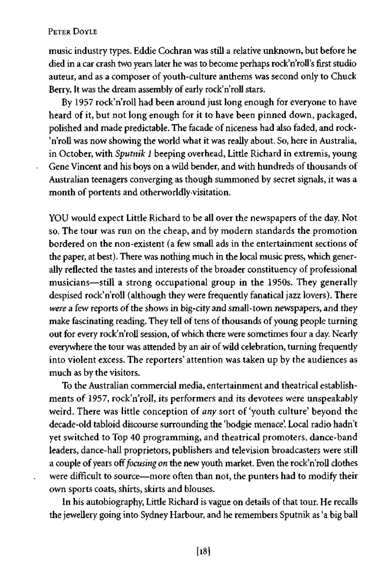l,

music industry types. Eddie Cochran was still a relative unknown, but before he died in a car crash two years later he was to become perhaps rock'n'roll's first studio auteur, and as a composer of youth-culture anthems was second only to Chuck Berry. It was the dream assembly of early rock'n'roll stars.

By 1957 rock'n'roll had been around just long enough for everyone to have heard of it, but not long enough for it to have been pinned down, packaged, polished and made predictable. The facade of niceness had also faded, and rock- 'n'roll was now showing the world what it was really about. So, here in Australia, in October, with *Sputnik 1* beeping overhead, Little Richard in extremis, young Gene Vincent and his boys on a wild bender, and with hundreds of thousands of Australian teenagers converging as though summoned by secret signals, it was a month of portents and otherworldly visitation.

YOU would expect Little Richard to be all over the newspapers of the day. Not so. The tour was run on the cheap, and by modern standards the promotion bordered on the non-existent (a few small ads in the entertainment sections of the paper, at best). There was nothing much in the local music press, which generally reflected the tastes and interests of the broader constituency of professional musicians—still a strong occupational group in the 1950s. They generally despised rock'n'roll (although they were frequently fanatical jazz lovers). There *were* a few reports of the shows in big-city and small-town newspapers, and they make fascinating reading. They tell of tens of thousands of young people turning out for every rock'n'roll session, of which there were sometimes four a day. Nearly everywhere the tour was attended by an air of wild celebration, turning frequendy into violent excess. The reporters' attention was taken up by the audiences as much as by the visitors.

To the Australian commercial media, entertainment and theatrical establishments of 1957, rock'n'roll, its performers and its devotees were unspeakably weird. There was little conception of *any* sort of 'youth culture' beyond the decade-old tabloid discourse surrounding the 'bodgie menace'. Local radio hadn't yet switched to Top 40 programming, and theatrical promoters, dance-band leaders, dance-hall proprietors, publishers and television broadcasters were still a couple of years off *focusing on* the new youth market. Even the rock'n'roll clothes were difficult to source—more often than not, the punters had to modify their own sports coats, shirts, skirts and blouses.

In his autobiography, Little Richard is vague on details of that tour. He recalls the jewellery going into Sydney Harbour, and he remembers Sputnik as 'a big ball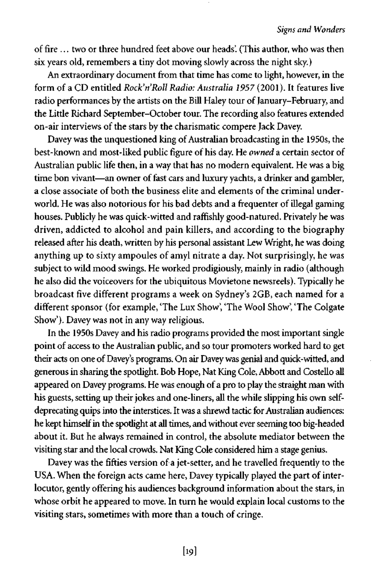of fire ... two or three hundred feet above our heads'. (This author, who was then six years old, remembers a tiny dot moving slowly across the night sky.)

An extraordinary document from that time has come to light, however, in the form of a CD entitled *Rock'n'Roll Radio: Australia 1957* (2001). It features live radio performances by the artists on the Bill Haley tour of January-February, and the Little Richard September-October tour. The recording also features extended on-air interviews of the stars by the charismatic compere Jack Davey.

Davey was the unquestioned king of Australian broadcasting in the 1950s, the best-known and most-liked public figure of his day. He *owned* a certain sector of Australian public life then, in a way that has no modern equivalent. He was a big time bon vivant—an owner of fast cars and luxury yachts, a drinker and gambler, a close associate of both the business elite and elements of the criminal underworld. He was also notorious for his bad debts and a frequenter of illegal gaming houses. Publicly he was quick-witted and raffishly good-natured. Privately he was driven, addicted to alcohol and pain killers, and according to the biography released after his death, written by his personal assistant Lew Wright, he was doing anything up to sixty ampoules of amyl nitrate a day. Not surprisingly, he was subject to wild mood swings. He worked prodigiously, mainly in radio (although he also did the voiceovers for the ubiquitous Movietone newsreels). Typically he broadcast five different programs a week on Sydney's 2GB, each named for a different sponsor (for example, 'The Lux Show', 'The Wool Show', 'The Colgate Show'). Davey was not in any way religious.

In the 1950s Davey and his radio programs provided the most important single point of access to the Australian public, and so tour promoters worked hard to get their acts on one of Davey's programs. On air Davey was genial and quick-witted, and generous in sharing the spotlight. Bob Hope, Nat King Cole, Abbott and Costello all appeared on Davey programs. He was enough of a pro to play the straight man with his guests, setting up their jokes and one-liners, all the while slipping his own selfdeprecating quips into the interstices. It was a shrewd tactic for Australian audiences: he kept himself in the spotlight at all times, and without ever seeming too big-headed about it. But he always remained in control, the absolute mediator between the visiting star and the local crowds. Nat King Cole considered him a stage genius.

Davey was the fifties version of a jet-setter, and he travelled frequently to the USA. When the foreign acts came here, Davey typically played the part of interlocutor, gently offering his audiences background information about the stars, in whose orbit he appeared to move. In turn he would explain local customs to the visiting stars, sometimes with more than a touch of cringe.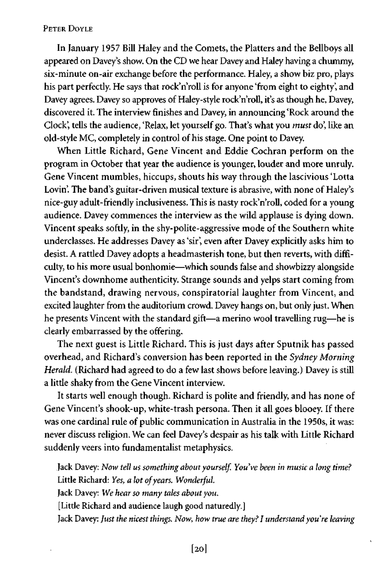In January 1957 Bill Haley and the Comets, the Platters and the Bellboys all appeared on Davey's show. On the CD we hear Davey and Haley having a chummy, six-minute on-air exchange before the performance. Haley, a show biz pro, plays his part perfectly. He says that rock'n'roll is for anyone 'from eight to eighty', and Davey agrees. Davey so approves of Haley-style rock'n'roll, it's as though he, Davey, discovered it. The interview finishes and Davey, in announcing 'Rock around the Clock', tells the audience, 'Relax, let yourself go. That's what you *must* do', like an old-style MC, completely in control of his stage. One point to Davey.

When Little Richard, Gene Vincent and Eddie Cochran perform on the program in October that year the audience is younger, louder and more unruly. Gene Vincent mumbles, hiccups, shouts his way through the lascivious 'Lotta Lovin'. The band's guitar-driven musical texture is abrasive, with none of Haley's nice-guy adult-friendly inclusiveness. This is nasty rock'n'roll, coded for a young audience. Davey commences the interview as the wild applause is dying down. Vincent speaks softly, in the shy-polite-aggressive mode of the Southern white underclasses. He addresses Davey as 'sir', even after Davey explicitly asks him to desist. A rattled Davey adopts a headmasterish tone, but then reverts, with difficulty, to his more usual bonhomie—which sounds false and showbizzy alongside Vincent's downhome authenticity. Strange sounds and yelps start coming from the bandstand, drawing nervous, conspiratorial laughter from Vincent, and excited laughter from the auditorium crowd. Davey hangs on, but only just. When he presents Vincent with the standard gift—a merino wool travelling rug—he is clearly embarrassed by the offering.

The next guest is Little Richard. This is just days after Sputnik has passed overhead, and Richard's conversion has been reported in the *Sydney Morning Herald.* (Richard had agreed to do a few last shows before leaving.) Davey is still a little shaky from the Gene Vincent interview.

It starts well enough though. Richard is polite and friendly, and has none of Gene Vincent's shook-up, white-trash persona. Then it all goes blooey. If there was one cardinal rule of public communication in Australia in the 1950s, it was: never discuss religion. We can feel Davey's despair as his talk with Little Richard suddenly veers into fundamentalist metaphysics.

Jack Davey: *Now tell us something about yourself. You've been in musk a long time?*  Little Richard: *Yes, a lot of years. Wonderful.*  Jack Davey: *We hear so many tales about you.*  [Little Richard and audience laugh good naturedly.] Jack Davey: *Just the nicest things. Now, how true are they? I understand you're leaving*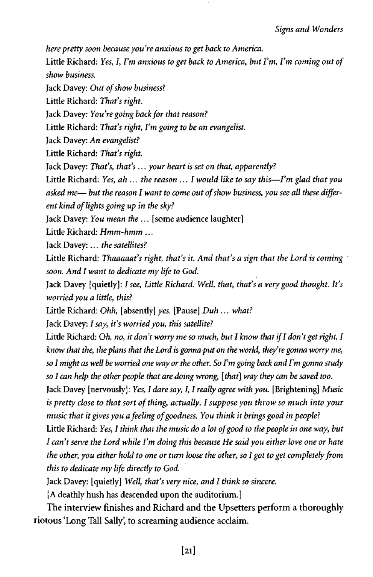*here pretty soon because you're anxious to get back to America.* 

Little Richard: *Yes, I, I'm anxious to get back to America, but I'm, I'm coming out of show business.* 

Jack Davey: *Out of show business?* 

Little Richard: *That's right.* 

Jack Davey: *You're going back for that reason?* 

Little Richard: *That's right, I'm going to be an evangelist.* 

Jack Davey: *An evangelist?* 

Little Richard: *That's right.* 

Jack Davey: *That's, that's ... your heart is set on that, apparently?* 

Little Richard: *Yes, ah ... the reason ...I would like to say this*—*I'm glad that you asked me*— *but the reason I want to come out of show business, you see all these different kind of lights going up in the sky?* 

Jack Davey: *You mean the ...* [some audience laughter]

Little Richard: *Hmm-hmm ...* 

Jack Davey:... *the satellites?* 

Little Richard: *Thaaaaat's right, that's it. And that's a sign that the Lord is coming* ' *soon. And I want to dedicate my life to God.* 

Jack Davey [quietly]: *I see, Little Richard. Well, that, that's a very good thought. It's worried you a little, this?* 

Little Richard: *Ohh,* [absently] *yes.* [Pause] *Duh ... what?* 

Jack Davey: *I say, it's worried you, this satellite?* 

Little Richard: *Oh, no, it don't worry me so much, but I know that if I don't get right, I know that the, the plans that the Lord is gonna put on the world, they're gonna worry me, so I might as well be worried one way or the other. So I'm going back and I'm gonna study so I can help the other people that are doing wrong, [that] way they can be saved too.* 

Jack Davey [nervously]: *Yes, I dare say, I, I really agree with you.* [Brightening] *Music is pretty close to that sort of thing, actually. I suppose you throw so much into your music that it gives you a feeling of goodness. You think it brings good in people?* 

Little Richard: *Yes, I think that the music do a lot of good to the people in one way, but I can't serve the Lord while I'm doing this because He said you either love one or hate the other, you either hold to one or turn loose the other, so I got to get completely from this to dedicate my life directly to God.* 

Jack Davey: [quietly] *Well, that's very nice, and I think so sincere.* 

*[A* deathly hush has descended upon the auditorium.]

The interview finishes and Richard and the Upsetters perform a thoroughly riotous 'Long Tall Sally', to screaming audience acclaim.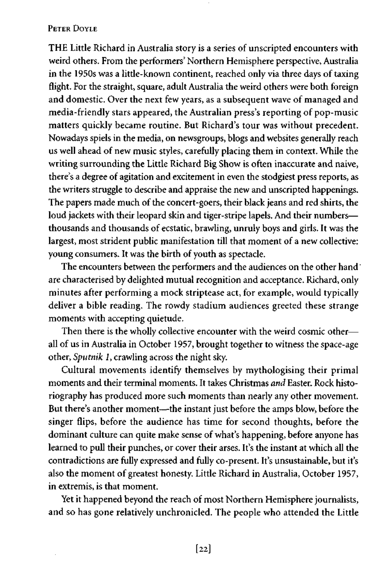THE Little Richard in Australia story is a series of unscripted encounters with weird others. From the performers' Northern Hemisphere perspective, Australia in the 1950s was a little-known continent, reached only via three days of taxing flight. For the straight, square, adult Australia the weird others were both foreign and domestic. Over the next few years, as a subsequent wave of managed and media-friendly stars appeared, the Australian press's reporting of pop-music matters quickly became routine. But Richard's tour was without precedent. Nowadays spiels in the media, on newsgroups, blogs and websites generally reach us well ahead of new music styles, carefully placing them in context. While the writing surrounding the Little Richard Big Show is often inaccurate and naive, there's a degree of agitation and excitement in even the stodgiest press reports, as the writers struggle to describe and appraise the new and unscripted happenings. The papers made much of the concert-goers, their black jeans and red shirts, the loud jackets with their leopard skin and tiger-stripe lapels. And their numbersthousands and thousands of ecstatic, brawling, unruly boys and girls. It was the largest, most strident public manifestation till that moment of a new collective: young consumers. It was the birth of youth as spectacle.

The encounters between the performers and the audiences on the other hand are characterised by delighted mutual recognition and acceptance. Richard, only minutes after performing a mock striptease act, for example, would typically deliver a bible reading. The rowdy stadium audiences greeted these strange moments with accepting quietude.

Then there is the wholly collective encounter with the weird cosmic other all of us in Australia in October 1957, brought together to witness the space-age other, *Sputnik 1,* crawling across the night sky.

Cultural movements identify themselves by mythologising their primal moments and their terminal moments. It takes Christmas *and* Easter. Rock historiography has produced more such moments than nearly any other movement. But there's another moment—the instant just before the amps blow, before the singer flips, before the audience has time for second thoughts, before the dominant culture can quite make sense of what's happening, before anyone has learned to pull their punches, or cover their arses. It's the instant at which all the contradictions are fully expressed and fully co-present. It's unsustainable, but it's also the moment of greatest honesty. Little Richard in Australia, October 1957, in extremis, is that moment.

Yet it happened beyond the reach of most Northern Hemisphere journalists, and so has gone relatively unchronicled. The people who attended the Little